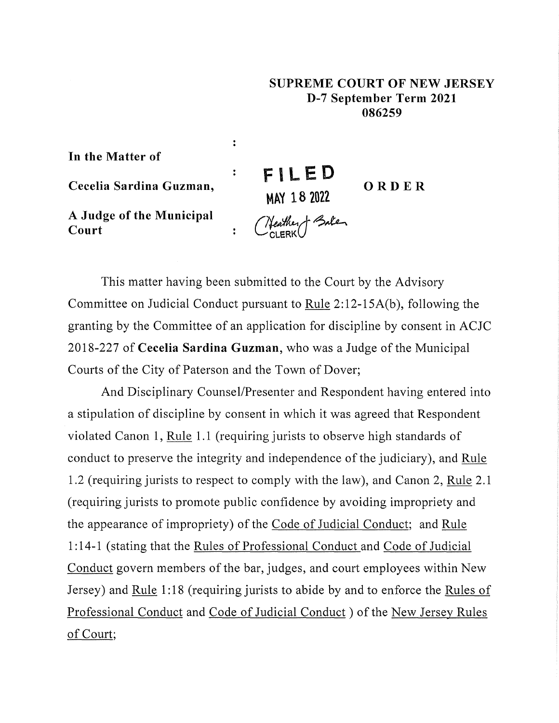## **SUPREME COURT OF NEW JERSEY D-7 September Term 2021 086259**

**In the Matter of** 

**Cecelia Sardina Guzman,** 

**A Judge of the Municipal Court** 

**FI LED MAY 18 2022**  *r~A-~~*  CcLERKU **ORDER** 

This matter having been submitted to the Court by the Advisory Committee on Judicial Conduct pursuant to Rule 2: 12-15A(b ), following the granting by the Committee of an application for discipline by consent in ACJC 2018-227 of **Cecelia Sardina Guzman,** who was a Judge of the Municipal Courts of the City of Paterson and the Town of Dover;

 $\ddot{\cdot}$ 

 $\ddot{\cdot}$ 

 $\ddot{\cdot}$ 

And Disciplinary Counsel/Presenter and Respondent having entered into a stipulation of discipline by consent in which it was agreed that Respondent violated Canon 1, Rule 1.1 (requiring jurists to observe high standards of conduct to preserve the integrity and independence of the judiciary), and Rule 1.2 (requiring jurists to respect to comply with the law), and Canon 2, Rule 2.1 (requiring jurists to promote public confidence by avoiding impropriety and the appearance of impropriety) of the Code of Judicial Conduct; and Rule 1: 14-1 (stating that the Rules of Professional Conduct and Code of Judicial Conduct govern members of the bar, judges, and court employees within New Jersey) and Rule 1:18 (requiring jurists to abide by and to enforce the Rules of Professional Conduct and Code of Judicial Conduct) of the New Jersey Rules of Court;